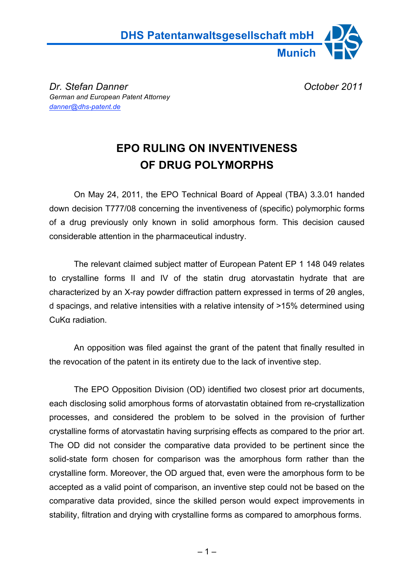

**Dr. Stefan Danner Community Community Community Community Community Community Community Community Community Community Community Community Community Community Community Community Community Community Community Community Com** *German and European Patent Attorney danner@dhs-patent.de*

## **EPO RULING ON INVENTIVENESS OF DRUG POLYMORPHS**

On May 24, 2011, the EPO Technical Board of Appeal (TBA) 3.3.01 handed down decision T777/08 concerning the inventiveness of (specific) polymorphic forms of a drug previously only known in solid amorphous form. This decision caused considerable attention in the pharmaceutical industry.

The relevant claimed subject matter of European Patent EP 1 148 049 relates to crystalline forms II and IV of the statin drug atorvastatin hydrate that are characterized by an X-ray powder diffraction pattern expressed in terms of 20 angles, d spacings, and relative intensities with a relative intensity of >15% determined using CuKa radiation.

An opposition was filed against the grant of the patent that finally resulted in the revocation of the patent in its entirety due to the lack of inventive step.

The EPO Opposition Division (OD) identified two closest prior art documents, each disclosing solid amorphous forms of atorvastatin obtained from re-crystallization processes, and considered the problem to be solved in the provision of further crystalline forms of atorvastatin having surprising effects as compared to the prior art. The OD did not consider the comparative data provided to be pertinent since the solid-state form chosen for comparison was the amorphous form rather than the crystalline form. Moreover, the OD argued that, even were the amorphous form to be accepted as a valid point of comparison, an inventive step could not be based on the comparative data provided, since the skilled person would expect improvements in stability, filtration and drying with crystalline forms as compared to amorphous forms.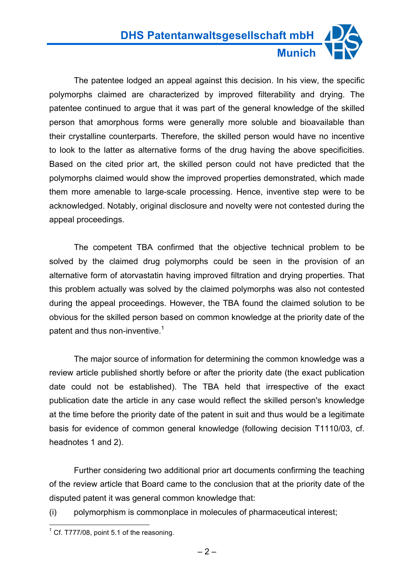The patentee lodged an appeal against this decision. In his view, the specific polymorphs claimed are characterized by improved filterability and drying. The patentee continued to argue that it was part of the general knowledge of the skilled person that amorphous forms were generally more soluble and bioavailable than their crystalline counterparts. Therefore, the skilled person would have no incentive to look to the latter as alternative forms of the drug having the above specificities. Based on the cited prior art, the skilled person could not have predicted that the polymorphs claimed would show the improved properties demonstrated, which made them more amenable to large-scale processing. Hence, inventive step were to be acknowledged. Notably, original disclosure and novelty were not contested during the appeal proceedings.

The competent TBA confirmed that the objective technical problem to be solved by the claimed drug polymorphs could be seen in the provision of an alternative form of atorvastatin having improved filtration and drying properties. That this problem actually was solved by the claimed polymorphs was also not contested during the appeal proceedings. However, the TBA found the claimed solution to be obvious for the skilled person based on common knowledge at the priority date of the patent and thus non-inventive.<sup>1</sup>

The major source of information for determining the common knowledge was a review article published shortly before or after the priority date (the exact publication date could not be established). The TBA held that irrespective of the exact publication date the article in any case would reflect the skilled person's knowledge at the time before the priority date of the patent in suit and thus would be a legitimate basis for evidence of common general knowledge (following decision T1110/03, cf. headnotes 1 and 2).

Further considering two additional prior art documents confirming the teaching of the review article that Board came to the conclusion that at the priority date of the disputed patent it was general common knowledge that:

(i) polymorphism is commonplace in molecules of pharmaceutical interest;

 $1^1$  Cf. T777/08, point 5.1 of the reasoning.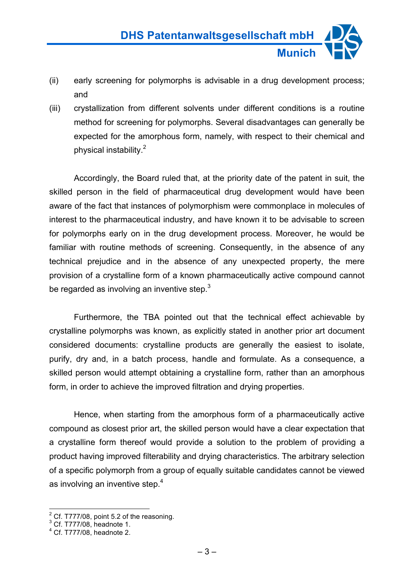- (ii) early screening for polymorphs is advisable in a drug development process; and
- (iii) crystallization from different solvents under different conditions is a routine method for screening for polymorphs. Several disadvantages can generally be expected for the amorphous form, namely, with respect to their chemical and physical instability. 2

Accordingly, the Board ruled that, at the priority date of the patent in suit, the skilled person in the field of pharmaceutical drug development would have been aware of the fact that instances of polymorphism were commonplace in molecules of interest to the pharmaceutical industry, and have known it to be advisable to screen for polymorphs early on in the drug development process. Moreover, he would be familiar with routine methods of screening. Consequently, in the absence of any technical prejudice and in the absence of any unexpected property, the mere provision of a crystalline form of a known pharmaceutically active compound cannot be regarded as involving an inventive step. $3$ 

Furthermore, the TBA pointed out that the technical effect achievable by crystalline polymorphs was known, as explicitly stated in another prior art document considered documents: crystalline products are generally the easiest to isolate, purify, dry and, in a batch process, handle and formulate. As a consequence, a skilled person would attempt obtaining a crystalline form, rather than an amorphous form, in order to achieve the improved filtration and drying properties.

Hence, when starting from the amorphous form of a pharmaceutically active compound as closest prior art, the skilled person would have a clear expectation that a crystalline form thereof would provide a solution to the problem of providing a product having improved filterability and drying characteristics. The arbitrary selection of a specific polymorph from a group of equally suitable candidates cannot be viewed as involving an inventive step.<sup>4</sup>

 $2^{2}$  Cf. T777/08, point 5.2 of the reasoning.

 $3$  Cf. T777/08, headnote 1.

<sup>4</sup> Cf. T777/08, headnote 2.